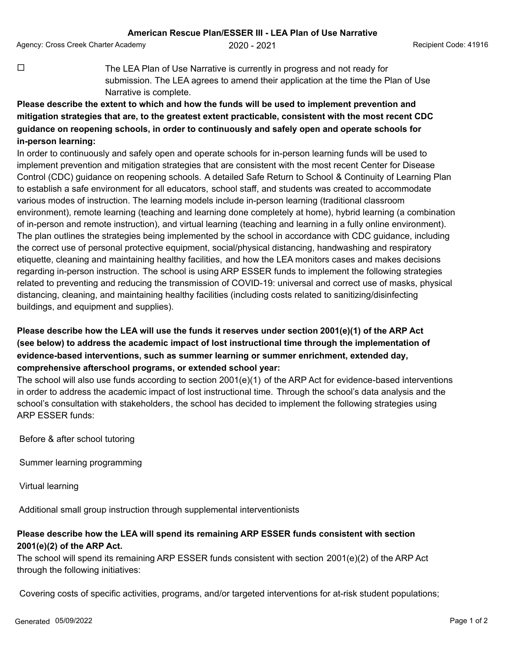Agency: Cross Creek Charter Academy  $2020 - 2021$  Agency: Cross Creek Charter Academy and the code: 41916

 $\Box$  The LEA Plan of Use Narrative is currently in progress and not ready for submission. The LEA agrees to amend their application at the time the Plan of Use Narrative is complete.

## **Please describe the extent to which and how the funds will be used to implement prevention and mitigation strategies that are, to the greatest extent practicable, consistent with the most recent CDC guidance on reopening schools, in order to continuously and safely open and operate schools for in-person learning:**

In order to continuously and safely open and operate schools for in-person learning funds will be used to implement prevention and mitigation strategies that are consistent with the most recent Center for Disease Control (CDC) guidance on reopening schools. A detailed Safe Return to School & Continuity of Learning Plan to establish a safe environment for all educators, school staff, and students was created to accommodate various modes of instruction. The learning models include in-person learning (traditional classroom environment), remote learning (teaching and learning done completely at home), hybrid learning (a combination of in-person and remote instruction), and virtual learning (teaching and learning in a fully online environment). The plan outlines the strategies being implemented by the school in accordance with CDC guidance, including the correct use of personal protective equipment, social/physical distancing, handwashing and respiratory etiquette, cleaning and maintaining healthy facilities, and how the LEA monitors cases and makes decisions regarding in-person instruction. The school is using ARP ESSER funds to implement the following strategies related to preventing and reducing the transmission of COVID-19: universal and correct use of masks, physical distancing, cleaning, and maintaining healthy facilities (including costs related to sanitizing/disinfecting buildings, and equipment and supplies).

## **Please describe how the LEA will use the funds it reserves under section 2001(e)(1) of the ARP Act (see below) to address the academic impact of lost instructional time through the implementation of evidence-based interventions, such as summer learning or summer enrichment, extended day, comprehensive afterschool programs, or extended school year:**

The school will also use funds according to section 2001(e)(1) of the ARP Act for evidence-based interventions in order to address the academic impact of lost instructional time. Through the school's data analysis and the school's consultation with stakeholders, the school has decided to implement the following strategies using ARP ESSER funds:

Before & after school tutoring

Summer learning programming

Virtual learning

Additional small group instruction through supplemental interventionists

## **Please describe how the LEA will spend its remaining ARP ESSER funds consistent with section 2001(e)(2) of the ARP Act.**

The school will spend its remaining ARP ESSER funds consistent with section 2001(e)(2) of the ARP Act through the following initiatives:

Covering costs of specific activities, programs, and/or targeted interventions for at-risk student populations;